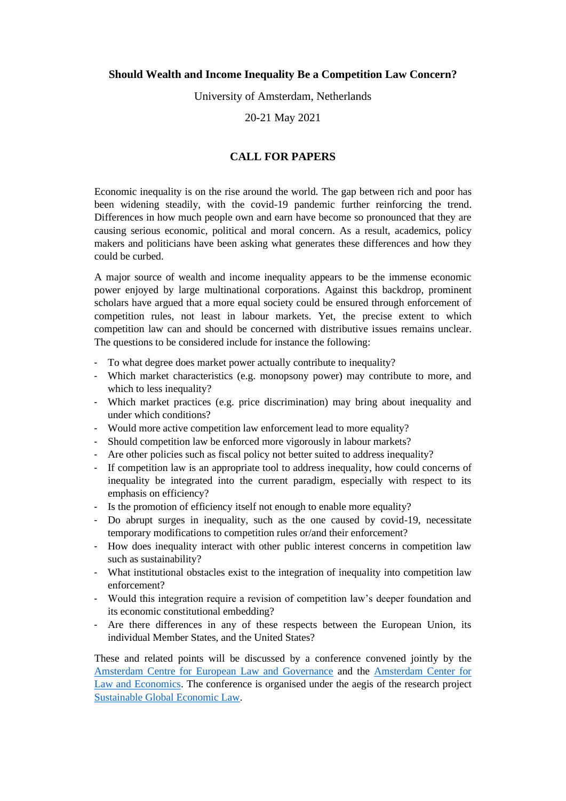## **Should Wealth and Income Inequality Be a Competition Law Concern?**

University of Amsterdam, Netherlands

20-21 May 2021

# **CALL FOR PAPERS**

Economic inequality is on the rise around the world. The gap between rich and poor has been widening steadily, with the covid-19 pandemic further reinforcing the trend. Differences in how much people own and earn have become so pronounced that they are causing serious economic, political and moral concern. As a result, academics, policy makers and politicians have been asking what generates these differences and how they could be curbed.

A major source of wealth and income inequality appears to be the immense economic power enjoyed by large multinational corporations. Against this backdrop, prominent scholars have argued that a more equal society could be ensured through enforcement of competition rules, not least in labour markets. Yet, the precise extent to which competition law can and should be concerned with distributive issues remains unclear. The questions to be considered include for instance the following:

- To what degree does market power actually contribute to inequality?
- Which market characteristics (e.g. monopsony power) may contribute to more, and which to less inequality?
- Which market practices (e.g. price discrimination) may bring about inequality and under which conditions?
- Would more active competition law enforcement lead to more equality?
- Should competition law be enforced more vigorously in labour markets?
- Are other policies such as fiscal policy not better suited to address inequality?
- If competition law is an appropriate tool to address inequality, how could concerns of inequality be integrated into the current paradigm, especially with respect to its emphasis on efficiency?
- Is the promotion of efficiency itself not enough to enable more equality?
- Do abrupt surges in inequality, such as the one caused by covid-19, necessitate temporary modifications to competition rules or/and their enforcement?
- How does inequality interact with other public interest concerns in competition law such as sustainability?
- What institutional obstacles exist to the integration of inequality into competition law enforcement?
- Would this integration require a revision of competition law's deeper foundation and its economic constitutional embedding?
- Are there differences in any of these respects between the European Union, its individual Member States, and the United States?

These and related points will be discussed by a conference convened jointly by the [Amsterdam Centre for European Law and Governance](https://acelg.uva.nl/) and the [Amsterdam Center for](https://acle.uva.nl/)  [Law and Economics.](https://acle.uva.nl/) The conference is organised under the aegis of the research project [Sustainable Global Economic Law.](https://sgel.uva.nl/)